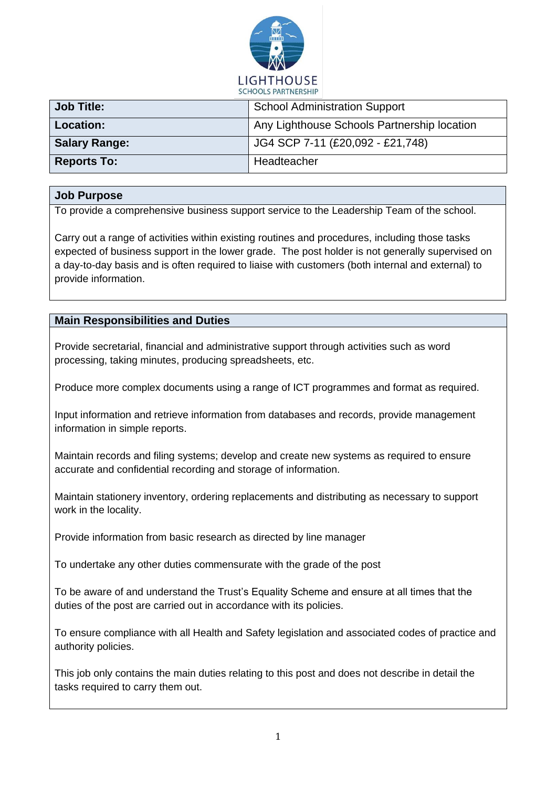

| <b>Job Title:</b>    | <b>School Administration Support</b>        |  |
|----------------------|---------------------------------------------|--|
| <b>Location:</b>     | Any Lighthouse Schools Partnership location |  |
| <b>Salary Range:</b> | JG4 SCP 7-11 (£20,092 - £21,748)            |  |
| <b>Reports To:</b>   | Headteacher                                 |  |

## **Job Purpose**

To provide a comprehensive business support service to the Leadership Team of the school.

Carry out a range of activities within existing routines and procedures, including those tasks expected of business support in the lower grade. The post holder is not generally supervised on a day-to-day basis and is often required to liaise with customers (both internal and external) to provide information.

## **Main Responsibilities and Duties**

Provide secretarial, financial and administrative support through activities such as word processing, taking minutes, producing spreadsheets, etc.

Produce more complex documents using a range of ICT programmes and format as required.

Input information and retrieve information from databases and records, provide management information in simple reports.

Maintain records and filing systems; develop and create new systems as required to ensure accurate and confidential recording and storage of information.

Maintain stationery inventory, ordering replacements and distributing as necessary to support work in the locality.

Provide information from basic research as directed by line manager

To undertake any other duties commensurate with the grade of the post

To be aware of and understand the Trust's Equality Scheme and ensure at all times that the duties of the post are carried out in accordance with its policies.

To ensure compliance with all Health and Safety legislation and associated codes of practice and authority policies.

This job only contains the main duties relating to this post and does not describe in detail the tasks required to carry them out.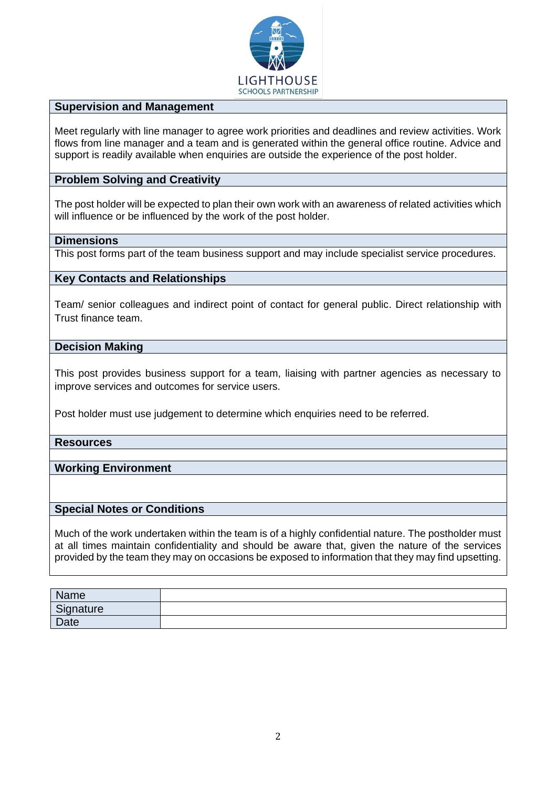

## **Supervision and Management**

Meet regularly with line manager to agree work priorities and deadlines and review activities. Work flows from line manager and a team and is generated within the general office routine. Advice and support is readily available when enquiries are outside the experience of the post holder.

#### **Problem Solving and Creativity**

The post holder will be expected to plan their own work with an awareness of related activities which will influence or be influenced by the work of the post holder.

## **Dimensions**

This post forms part of the team business support and may include specialist service procedures.

#### **Key Contacts and Relationships**

Team/ senior colleagues and indirect point of contact for general public. Direct relationship with Trust finance team.

#### **Decision Making**

This post provides business support for a team, liaising with partner agencies as necessary to improve services and outcomes for service users.

Post holder must use judgement to determine which enquiries need to be referred.

#### **Resources**

## **Working Environment**

#### **Special Notes or Conditions**

Much of the work undertaken within the team is of a highly confidential nature. The postholder must at all times maintain confidentiality and should be aware that, given the nature of the services provided by the team they may on occasions be exposed to information that they may find upsetting.

| Name      |  |
|-----------|--|
| Signature |  |
| Date      |  |